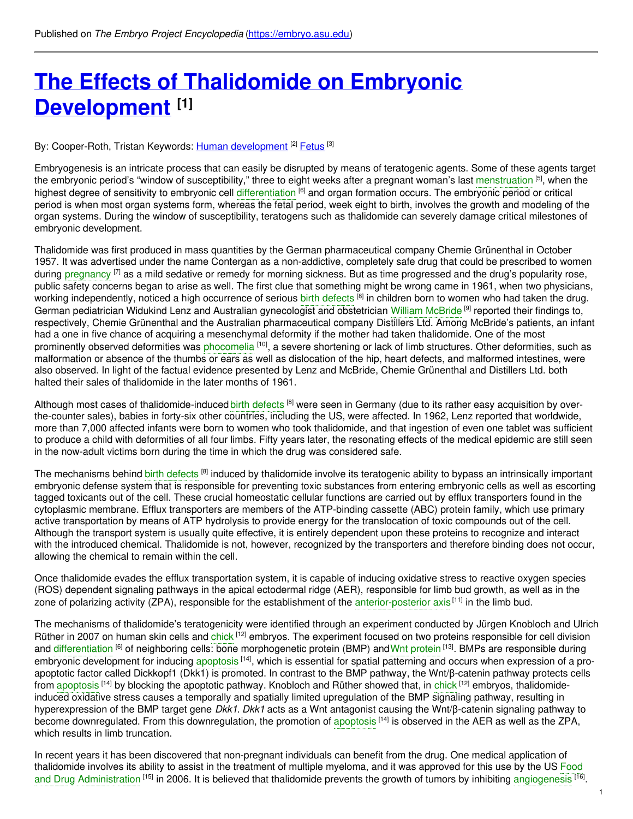# **The Effects of Thalidomide on Embryonic [Development](https://embryo.asu.edu/pages/effects-thalidomide-embryonic-development) [1]**

## By: Cooper-Roth, Tristan Keywords: <u>Human [development](https://embryo.asu.edu/keywords/human-development)</u> <sup>[2]</sup> [Fetus](https://embryo.asu.edu/keywords/fetus) <sup>[3]</sup>

Embryogenesis is an intricate process that can easily be disrupted by means of teratogenic agents. Some of these agents target the embryonic period's "window of susceptibility," three to eight weeks after a pregnant woman's last [menstruation](https://embryo.asu.edu/search?text=menstruation) <sup>[5]</sup>, when the highest degree of sensitivity to embryonic cell [differentiation](https://embryo.asu.edu/search?text=differentiation) <sup>[6]</sup> and organ formation occurs. The embryonic period or critical period is when most organ systems form, whereas the fetal period, week eight to birth, involves the growth and modeling of the organ systems. During the window of susceptibility, teratogens such as thalidomide can severely damage critical milestones of embryonic development.

Thalidomide was first produced in mass quantities by the German pharmaceutical company Chemie Grünenthal in October 1957. It was advertised under the name Contergan as a non-addictive, completely safe drug that could be prescribed to women during [pregnancy](https://embryo.asu.edu/search?text=pregnancy) <sup>[7]</sup> as a mild sedative or remedy for morning sickness. But as time progressed and the drug's popularity rose, public safety concerns began to arise as well. The first clue that something might be wrong came in 1961, when two physicians, working independently, noticed a high occurrence of serious birth [defects](https://embryo.asu.edu/search?text=birth%20defects) <sup>[8]</sup> in children born to women who had taken the drug. German pediatrician Widukind Lenz and Australian gynecologist and obstetrician William [McBride](https://embryo.asu.edu/search?text=William%20McBride) <sup>[9]</sup> reported their findings to, respectively, Chemie Grünenthal and the Australian pharmaceutical company Distillers Ltd. Among McBride's patients, an infant had a one in five chance of acquiring a mesenchymal deformity if the mother had taken thalidomide. One of the most prominently observed deformities was [phocomelia](https://embryo.asu.edu/search?text=phocomelia) [10], a severe shortening or lack of limb structures. Other deformities, such as malformation or absence of the thumbs or ears as well as dislocation of the hip, heart defects, and malformed intestines, were also observed. In light of the factual evidence presented by Lenz and McBride, Chemie Grünenthal and Distillers Ltd. both halted their sales of thalidomide in the later months of 1961.

Although most cases of thalidomide-induced birth [defects](https://embryo.asu.edu/search?text=birth%20defects) <sup>[8]</sup> were seen in Germany (due to its rather easy acquisition by overthe-counter sales), babies in forty-six other countries, including the US, were affected. In 1962, Lenz reported that worldwide, more than 7,000 affected infants were born to women who took thalidomide, and that ingestion of even one tablet was sufficient to produce a child with deformities of all four limbs. Fifty years later, the resonating effects of the medical epidemic are still seen in the now-adult victims born during the time in which the drug was considered safe.

The mechanisms behind birth [defects](https://embryo.asu.edu/search?text=birth%20defects) <sup>[8]</sup> induced by thalidomide involve its teratogenic ability to bypass an intrinsically important embryonic defense system that is responsible for preventing toxic substances from entering embryonic cells as well as escorting tagged toxicants out of the cell. These crucial homeostatic cellular functions are carried out by efflux transporters found in the cytoplasmic membrane. Efflux transporters are members of the ATP-binding cassette (ABC) protein family, which use primary active transportation by means of ATP hydrolysis to provide energy for the translocation of toxic compounds out of the cell. Although the transport system is usually quite effective, it is entirely dependent upon these proteins to recognize and interact with the introduced chemical. Thalidomide is not, however, recognized by the transporters and therefore binding does not occur, allowing the chemical to remain within the cell.

Once thalidomide evades the efflux transportation system, it is capable of inducing oxidative stress to reactive oxygen species (ROS) dependent signaling pathways in the apical ectodermal ridge (AER), responsible for limb bud growth, as well as in the zone of polarizing activity (ZPA), responsible for the establishment of the [anterior-posterior](https://embryo.asu.edu/search?text=anterior-posterior%20axis) axis<sup>[11]</sup> in the limb bud.

The mechanisms of thalidomide's teratogenicity were identified through an experiment conducted by Jürgen Knobloch and Ulrich Rüther in 2007 on human skin cells and [chick](https://embryo.asu.edu/search?text=chick) <sup>[12]</sup> embryos. The experiment focused on two proteins responsible for cell division and [differentiation](https://embryo.asu.edu/search?text=differentiation) <sup>[6]</sup> of neighboring cells: bone morphogenetic [protein](https://embryo.asu.edu/search?text=Wnt%20protein) (BMP) andWnt protein <sup>[13]</sup>. BMPs are responsible during embryonic development for inducing [apoptosis](https://embryo.asu.edu/search?text=apoptosis) <sup>[14]</sup>, which is essential for spatial patterning and occurs when expression of a proapoptotic factor called Dickkopf1 (Dkk1) is promoted. In contrast to the BMP pathway, the Wnt/β-catenin pathway protects cells from [apoptosis](https://embryo.asu.edu/search?text=apoptosis) <sup>[14]</sup> by blocking the apoptotic pathway. Knobloch and Rüther showed that, in [chick](https://embryo.asu.edu/search?text=chick) <sup>[12]</sup> embryos, thalidomideinduced oxidative stress causes a temporally and spatially limited upregulation of the BMP signaling pathway, resulting in hyperexpression of the BMP target gene *Dkk1*. *Dkk1* acts as a Wnt antagonist causing the Wnt/β-catenin signaling pathway to become downregulated. From this downregulation, the promotion of [apoptosis](https://embryo.asu.edu/search?text=apoptosis) <sup>[14]</sup> is observed in the AER as well as the ZPA, which results in limb truncation.

In recent years it has been discovered that non-pregnant individuals can benefit from the drug. One medical application of thalidomide involves its ability to assist in the treatment of multiple myeloma, and it was approved for this use by the US Food and Drug [Administration](https://embryo.asu.edu/search?text=Food%20and%20Drug%20Administration) <sup>[15]</sup> in 2006. It is believed that thalidomide prevents the growth of tumors by inhibiting [angiogenesis](https://embryo.asu.edu/search?text=angiogenesis) <sup>[16]</sup>.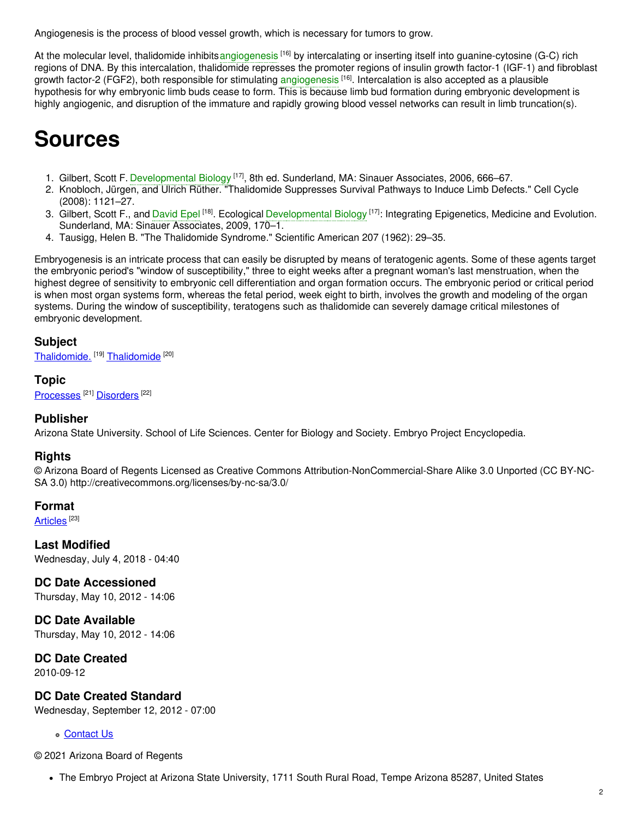Angiogenesis is the process of blood vessel growth, which is necessary for tumors to grow.

At the molecular level, thalidomide inhibits[angiogenesis](https://embryo.asu.edu/search?text=angiogenesis) <sup>[16]</sup> by intercalating or inserting itself into guanine-cytosine (G-C) rich regions of DNA. By this intercalation, thalidomide represses the promoter regions of insulin growth factor-1 (IGF-1) and fibroblast growth factor-2 (FGF2), both responsible for stimulating [angiogenesis](https://embryo.asu.edu/search?text=angiogenesis) <sup>[16]</sup>. Intercalation is also accepted as a plausible hypothesis for why embryonic limb buds cease to form. This is because limb bud formation during embryonic development is highly angiogenic, and disruption of the immature and rapidly growing blood vessel networks can result in limb truncation(s).

# **Sources**

- 1. Gilbert, Scott F. [Developmental](https://embryo.asu.edu/search?text=Developmental%20Biology) Biology<sup>[17]</sup>, 8th ed. Sunderland, MA: Sinauer Associates, 2006, 666–67.
- 2. Knobloch, Jürgen, and Ulrich Rüther. "Thalidomide Suppresses Survival Pathways to Induce Limb Defects." Cell Cycle (2008): 1121–27.
- 3. Gilbert, Scott F., and [David](https://embryo.asu.edu/search?text=David%20Epel) Epel <sup>[18]</sup>. Ecological [Developmental](https://embryo.asu.edu/search?text=Developmental%20Biology) Biology <sup>[17]</sup>: Integrating Epigenetics, Medicine and Evolution. Sunderland, MA: Sinauer Associates, 2009, 170–1.
- 4. Tausigg, Helen B. "The Thalidomide Syndrome." Scientific American 207 (1962): 29–35.

Embryogenesis is an intricate process that can easily be disrupted by means of teratogenic agents. Some of these agents target the embryonic period's "window of susceptibility," three to eight weeks after a pregnant woman's last menstruation, when the highest degree of sensitivity to embryonic cell differentiation and organ formation occurs. The embryonic period or critical period is when most organ systems form, whereas the fetal period, week eight to birth, involves the growth and modeling of the organ systems. During the window of susceptibility, teratogens such as thalidomide can severely damage critical milestones of embryonic development.

#### **Subject**

[Thalidomide.](https://embryo.asu.edu/library-congress-subject-headings/thalidomide) <sup>[19]</sup> [Thalidomide](https://embryo.asu.edu/medical-subject-headings/thalidomide) <sup>[20]</sup>

**Topic** [Processes](https://embryo.asu.edu/topics/processes)<sup>[21]</sup> [Disorders](https://embryo.asu.edu/topics/disorders)<sup>[22]</sup>

## **Publisher**

Arizona State University. School of Life Sciences. Center for Biology and Society. Embryo Project Encyclopedia.

## **Rights**

© Arizona Board of Regents Licensed as Creative Commons Attribution-NonCommercial-Share Alike 3.0 Unported (CC BY-NC-SA 3.0) http://creativecommons.org/licenses/by-nc-sa/3.0/

## **Format**

[Articles](https://embryo.asu.edu/formats/articles)  $^{[23]}$ 

**Last Modified** Wednesday, July 4, 2018 - 04:40

**DC Date Accessioned** Thursday, May 10, 2012 - 14:06

**DC Date Available** Thursday, May 10, 2012 - 14:06

**DC Date Created**

2010-09-12

**DC Date Created Standard**

Wednesday, September 12, 2012 - 07:00

#### [Contact](https://embryo.asu.edu/contact) Us

© 2021 Arizona Board of Regents

The Embryo Project at Arizona State University, 1711 South Rural Road, Tempe Arizona 85287, United States